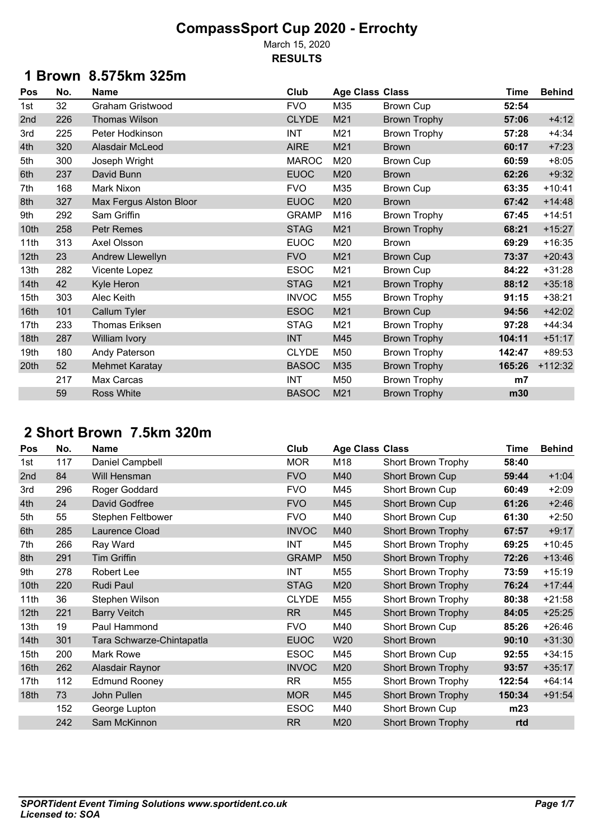March 15, 2020 **RESULTS**

## **1 Brown 8.575km 325m**

| Pos              | No. | Name                    | Club         |     | <b>Age Class Class</b> | <b>Time</b>    | <b>Behind</b> |
|------------------|-----|-------------------------|--------------|-----|------------------------|----------------|---------------|
| 1st              | 32  | Graham Gristwood        | <b>FVO</b>   | M35 | Brown Cup              | 52:54          |               |
| 2nd              | 226 | Thomas Wilson           | <b>CLYDE</b> | M21 | <b>Brown Trophy</b>    | 57:06          | $+4:12$       |
| 3rd              | 225 | Peter Hodkinson         | <b>INT</b>   | M21 | <b>Brown Trophy</b>    | 57:28          | $+4:34$       |
| 4th              | 320 | Alasdair McLeod         | <b>AIRE</b>  | M21 | <b>Brown</b>           | 60:17          | $+7:23$       |
| 5th              | 300 | Joseph Wright           | <b>MAROC</b> | M20 | <b>Brown Cup</b>       | 60:59          | $+8:05$       |
| 6th              | 237 | David Bunn              | <b>EUOC</b>  | M20 | <b>Brown</b>           | 62:26          | $+9:32$       |
| 7th              | 168 | Mark Nixon              | <b>FVO</b>   | M35 | Brown Cup              | 63:35          | $+10:41$      |
| 8th              | 327 | Max Fergus Alston Bloor | <b>EUOC</b>  | M20 | <b>Brown</b>           | 67:42          | $+14:48$      |
| 9th              | 292 | Sam Griffin             | <b>GRAMP</b> | M16 | <b>Brown Trophy</b>    | 67:45          | $+14:51$      |
| 10th             | 258 | Petr Remes              | <b>STAG</b>  | M21 | <b>Brown Trophy</b>    | 68:21          | $+15:27$      |
| 11th             | 313 | Axel Olsson             | <b>EUOC</b>  | M20 | <b>Brown</b>           | 69:29          | $+16:35$      |
| 12th             | 23  | Andrew Llewellyn        | <b>FVO</b>   | M21 | <b>Brown Cup</b>       | 73:37          | $+20:43$      |
| 13th             | 282 | Vicente Lopez           | <b>ESOC</b>  | M21 | <b>Brown Cup</b>       | 84:22          | $+31:28$      |
| 14 <sub>th</sub> | 42  | Kyle Heron              | <b>STAG</b>  | M21 | <b>Brown Trophy</b>    | 88:12          | $+35:18$      |
| 15th             | 303 | Alec Keith              | <b>INVOC</b> | M55 | <b>Brown Trophy</b>    | 91:15          | $+38:21$      |
| 16th             | 101 | Callum Tyler            | <b>ESOC</b>  | M21 | <b>Brown Cup</b>       | 94:56          | $+42:02$      |
| 17th             | 233 | Thomas Eriksen          | <b>STAG</b>  | M21 | <b>Brown Trophy</b>    | 97:28          | $+44:34$      |
| 18th             | 287 | William Ivory           | <b>INT</b>   | M45 | <b>Brown Trophy</b>    | 104:11         | $+51:17$      |
| 19th             | 180 | Andy Paterson           | <b>CLYDE</b> | M50 | <b>Brown Trophy</b>    | 142:47         | $+89:53$      |
| 20th             | 52  | <b>Mehmet Karatay</b>   | <b>BASOC</b> | M35 | <b>Brown Trophy</b>    | 165:26         | $+112:32$     |
|                  | 217 | Max Carcas              | <b>INT</b>   | M50 | <b>Brown Trophy</b>    | m <sub>7</sub> |               |
|                  | 59  | Ross White              | <b>BASOC</b> | M21 | <b>Brown Trophy</b>    | m30            |               |

## **2 Short Brown 7.5km 320m**

| Pos              | No. | <b>Name</b>               | Club         | <b>Age Class Class</b> |                           | <b>Time</b> | <b>Behind</b> |
|------------------|-----|---------------------------|--------------|------------------------|---------------------------|-------------|---------------|
| 1st              | 117 | Daniel Campbell           | <b>MOR</b>   | M18                    | Short Brown Trophy        | 58:40       |               |
| 2nd              | 84  | Will Hensman              | <b>FVO</b>   | M40                    | Short Brown Cup           | 59:44       | $+1:04$       |
| 3rd              | 296 | Roger Goddard             | <b>FVO</b>   | M45                    | Short Brown Cup           | 60:49       | $+2:09$       |
| 4th              | 24  | David Godfree             | <b>FVO</b>   | M45                    | Short Brown Cup           | 61:26       | $+2:46$       |
| 5th              | 55  | Stephen Feltbower         | <b>FVO</b>   | M40                    | Short Brown Cup           | 61:30       | $+2:50$       |
| 6th              | 285 | Laurence Cload            | <b>INVOC</b> | M40                    | <b>Short Brown Trophy</b> | 67:57       | $+9:17$       |
| 7th              | 266 | Ray Ward                  | <b>INT</b>   | M45                    | Short Brown Trophy        | 69:25       | $+10:45$      |
| 8th              | 291 | <b>Tim Griffin</b>        | <b>GRAMP</b> | M50                    | <b>Short Brown Trophy</b> | 72:26       | $+13:46$      |
| 9th              | 278 | Robert Lee                | INT          | M55                    | Short Brown Trophy        | 73:59       | $+15:19$      |
| 10th             | 220 | Rudi Paul                 | <b>STAG</b>  | M20                    | <b>Short Brown Trophy</b> | 76:24       | $+17:44$      |
| 11th             | 36  | Stephen Wilson            | <b>CLYDE</b> | M55                    | Short Brown Trophy        | 80:38       | $+21:58$      |
| 12 <sub>th</sub> | 221 | <b>Barry Veitch</b>       | RR           | M45                    | <b>Short Brown Trophy</b> | 84:05       | $+25:25$      |
| 13th             | 19  | Paul Hammond              | <b>FVO</b>   | M40                    | Short Brown Cup           | 85:26       | $+26:46$      |
| 14th             | 301 | Tara Schwarze-Chintapatla | <b>EUOC</b>  | W20                    | <b>Short Brown</b>        | 90:10       | $+31:30$      |
| 15th             | 200 | Mark Rowe                 | <b>ESOC</b>  | M45                    | Short Brown Cup           | 92:55       | $+34:15$      |
| 16th             | 262 | Alasdair Raynor           | <b>INVOC</b> | M20                    | <b>Short Brown Trophy</b> | 93:57       | $+35:17$      |
| 17th             | 112 | <b>Edmund Rooney</b>      | <b>RR</b>    | M55                    | Short Brown Trophy        | 122:54      | $+64:14$      |
| 18 <sub>th</sub> | 73  | John Pullen               | <b>MOR</b>   | M45                    | <b>Short Brown Trophy</b> | 150:34      | $+91:54$      |
|                  | 152 | George Lupton             | <b>ESOC</b>  | M40                    | Short Brown Cup           | m23         |               |
|                  | 242 | Sam McKinnon              | <b>RR</b>    | M20                    | <b>Short Brown Trophy</b> | rtd         |               |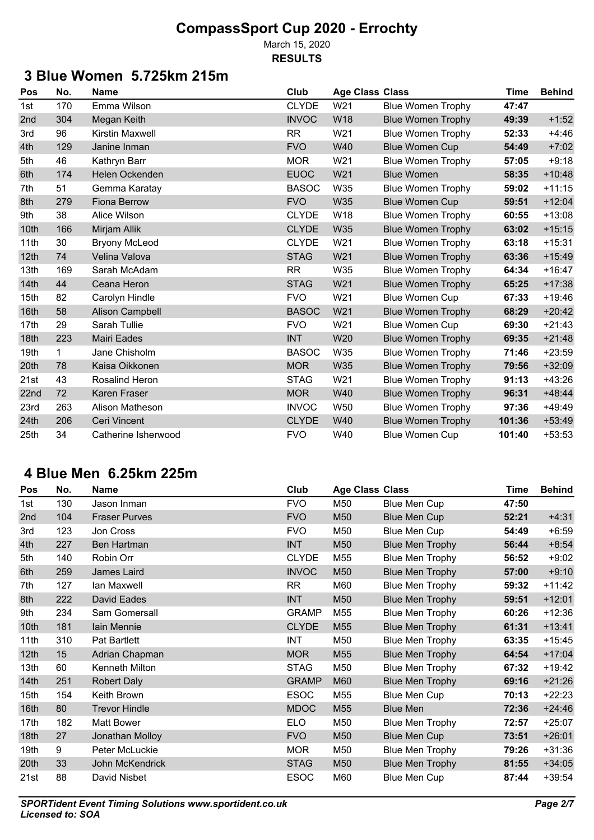March 15, 2020 **RESULTS**

## **3 Blue Women 5.725km 215m**

| Pos  | No. | <b>Name</b>            | Club         | <b>Age Class Class</b> |                          | <b>Time</b> | <b>Behind</b> |
|------|-----|------------------------|--------------|------------------------|--------------------------|-------------|---------------|
| 1st  | 170 | Emma Wilson            | <b>CLYDE</b> | W21                    | <b>Blue Women Trophy</b> | 47:47       |               |
| 2nd  | 304 | Megan Keith            | <b>INVOC</b> | <b>W18</b>             | <b>Blue Women Trophy</b> | 49:39       | $+1:52$       |
| 3rd  | 96  | Kirstin Maxwell        | <b>RR</b>    | W21                    | <b>Blue Women Trophy</b> | 52:33       | $+4:46$       |
| 4th  | 129 | Janine Inman           | <b>FVO</b>   | W40                    | <b>Blue Women Cup</b>    | 54:49       | $+7:02$       |
| 5th  | 46  | Kathryn Barr           | <b>MOR</b>   | W21                    | <b>Blue Women Trophy</b> | 57:05       | $+9:18$       |
| 6th  | 174 | Helen Ockenden         | <b>EUOC</b>  | W21                    | <b>Blue Women</b>        | 58:35       | $+10:48$      |
| 7th  | 51  | Gemma Karatay          | <b>BASOC</b> | W35                    | <b>Blue Women Trophy</b> | 59:02       | $+11:15$      |
| 8th  | 279 | <b>Fiona Berrow</b>    | <b>FVO</b>   | W35                    | <b>Blue Women Cup</b>    | 59:51       | $+12:04$      |
| 9th  | 38  | Alice Wilson           | <b>CLYDE</b> | W18                    | <b>Blue Women Trophy</b> | 60:55       | $+13:08$      |
| 10th | 166 | Mirjam Allik           | <b>CLYDE</b> | W35                    | <b>Blue Women Trophy</b> | 63:02       | $+15:15$      |
| 11th | 30  | <b>Bryony McLeod</b>   | <b>CLYDE</b> | W21                    | <b>Blue Women Trophy</b> | 63:18       | $+15:31$      |
| 12th | 74  | Velina Valova          | <b>STAG</b>  | W21                    | <b>Blue Women Trophy</b> | 63:36       | $+15:49$      |
| 13th | 169 | Sarah McAdam           | <b>RR</b>    | W35                    | <b>Blue Women Trophy</b> | 64:34       | $+16:47$      |
| 14th | 44  | Ceana Heron            | <b>STAG</b>  | W21                    | <b>Blue Women Trophy</b> | 65:25       | $+17:38$      |
| 15th | 82  | Carolyn Hindle         | <b>FVO</b>   | W21                    | <b>Blue Women Cup</b>    | 67:33       | $+19:46$      |
| 16th | 58  | <b>Alison Campbell</b> | <b>BASOC</b> | W21                    | <b>Blue Women Trophy</b> | 68:29       | $+20:42$      |
| 17th | 29  | Sarah Tullie           | <b>FVO</b>   | W21                    | <b>Blue Women Cup</b>    | 69:30       | $+21:43$      |
| 18th | 223 | <b>Mairi Eades</b>     | <b>INT</b>   | W20                    | <b>Blue Women Trophy</b> | 69:35       | $+21:48$      |
| 19th | 1   | Jane Chisholm          | <b>BASOC</b> | W35                    | <b>Blue Women Trophy</b> | 71:46       | $+23:59$      |
| 20th | 78  | Kaisa Oikkonen         | <b>MOR</b>   | W35                    | <b>Blue Women Trophy</b> | 79:56       | $+32:09$      |
| 21st | 43  | Rosalind Heron         | <b>STAG</b>  | W21                    | <b>Blue Women Trophy</b> | 91:13       | $+43:26$      |
| 22nd | 72  | Karen Fraser           | <b>MOR</b>   | W40                    | <b>Blue Women Trophy</b> | 96:31       | $+48:44$      |
| 23rd | 263 | Alison Matheson        | <b>INVOC</b> | W <sub>50</sub>        | <b>Blue Women Trophy</b> | 97:36       | $+49:49$      |
| 24th | 206 | Ceri Vincent           | <b>CLYDE</b> | W40                    | <b>Blue Women Trophy</b> | 101:36      | $+53:49$      |
| 25th | 34  | Catherine Isherwood    | <b>FVO</b>   | W40                    | <b>Blue Women Cup</b>    | 101:40      | $+53:53$      |

## **4 Blue Men 6.25km 225m**

| Pos  | No. | <b>Name</b>          | Club         | <b>Age Class Class</b> |                        | <b>Time</b> | <b>Behind</b> |
|------|-----|----------------------|--------------|------------------------|------------------------|-------------|---------------|
| 1st  | 130 | Jason Inman          | <b>FVO</b>   | M50                    | <b>Blue Men Cup</b>    | 47:50       |               |
| 2nd  | 104 | <b>Fraser Purves</b> | <b>FVO</b>   | M50                    | <b>Blue Men Cup</b>    | 52:21       | $+4:31$       |
| 3rd  | 123 | Jon Cross            | <b>FVO</b>   | M50                    | Blue Men Cup           | 54:49       | $+6:59$       |
| 4th  | 227 | Ben Hartman          | <b>INT</b>   | M50                    | <b>Blue Men Trophy</b> | 56:44       | $+8:54$       |
| 5th  | 140 | Robin Orr            | <b>CLYDE</b> | M55                    | <b>Blue Men Trophy</b> | 56:52       | $+9:02$       |
| 6th  | 259 | James Laird          | <b>INVOC</b> | M50                    | <b>Blue Men Trophy</b> | 57:00       | $+9:10$       |
| 7th  | 127 | lan Maxwell          | <b>RR</b>    | M60                    | Blue Men Trophy        | 59:32       | $+11:42$      |
| 8th  | 222 | David Eades          | <b>INT</b>   | M50                    | <b>Blue Men Trophy</b> | 59:51       | $+12:01$      |
| 9th  | 234 | Sam Gomersall        | <b>GRAMP</b> | M55                    | Blue Men Trophy        | 60:26       | $+12:36$      |
| 10th | 181 | lain Mennie          | <b>CLYDE</b> | M <sub>55</sub>        | <b>Blue Men Trophy</b> | 61:31       | $+13:41$      |
| 11th | 310 | Pat Bartlett         | <b>INT</b>   | M50                    | <b>Blue Men Trophy</b> | 63:35       | $+15:45$      |
| 12th | 15  | Adrian Chapman       | <b>MOR</b>   | M <sub>55</sub>        | <b>Blue Men Trophy</b> | 64:54       | $+17:04$      |
| 13th | 60  | Kenneth Milton       | <b>STAG</b>  | M50                    | <b>Blue Men Trophy</b> | 67:32       | $+19:42$      |
| 14th | 251 | <b>Robert Daly</b>   | <b>GRAMP</b> | M60                    | <b>Blue Men Trophy</b> | 69:16       | $+21:26$      |
| 15th | 154 | Keith Brown          | <b>ESOC</b>  | M55                    | Blue Men Cup           | 70:13       | $+22:23$      |
| 16th | 80  | <b>Trevor Hindle</b> | <b>MDOC</b>  | M55                    | <b>Blue Men</b>        | 72:36       | $+24:46$      |
| 17th | 182 | <b>Matt Bower</b>    | <b>ELO</b>   | M50                    | <b>Blue Men Trophy</b> | 72:57       | $+25:07$      |
| 18th | 27  | Jonathan Molloy      | <b>FVO</b>   | M50                    | <b>Blue Men Cup</b>    | 73:51       | $+26:01$      |
| 19th | 9   | Peter McLuckie       | <b>MOR</b>   | M50                    | <b>Blue Men Trophy</b> | 79:26       | $+31:36$      |
| 20th | 33  | John McKendrick      | <b>STAG</b>  | M50                    | <b>Blue Men Trophy</b> | 81:55       | $+34:05$      |
| 21st | 88  | David Nisbet         | <b>ESOC</b>  | M60                    | <b>Blue Men Cup</b>    | 87:44       | $+39:54$      |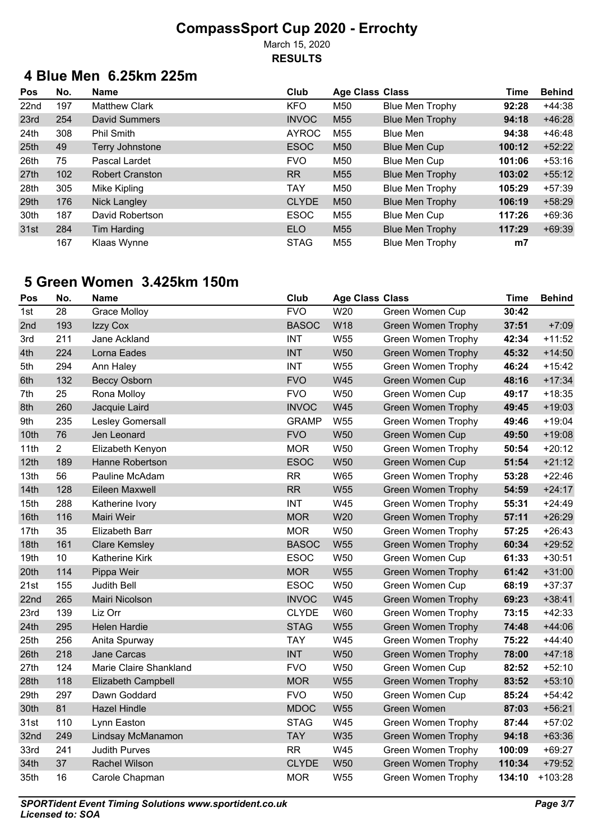March 15, 2020 **RESULTS**

## **4 Blue Men 6.25km 225m**

| Pos              | No. | Name                   | Club         | <b>Age Class Class</b> |                        | Time           | <b>Behind</b> |
|------------------|-----|------------------------|--------------|------------------------|------------------------|----------------|---------------|
| 22nd             | 197 | <b>Matthew Clark</b>   | <b>KFO</b>   | M50                    | <b>Blue Men Trophy</b> | 92:28          | $+44:38$      |
| 23rd             | 254 | David Summers          | <b>INVOC</b> | M <sub>55</sub>        | <b>Blue Men Trophy</b> | 94:18          | $+46:28$      |
| 24 <sub>th</sub> | 308 | <b>Phil Smith</b>      | <b>AYROC</b> | M55                    | Blue Men               | 94:38          | $+46:48$      |
| 25 <sub>th</sub> | 49  | Terry Johnstone        | <b>ESOC</b>  | M <sub>50</sub>        | Blue Men Cup           | 100:12         | $+52:22$      |
| 26th             | 75  | Pascal Lardet          | <b>FVO</b>   | M50                    | <b>Blue Men Cup</b>    | 101:06         | $+53:16$      |
| 27 <sub>th</sub> | 102 | <b>Robert Cranston</b> | <b>RR</b>    | M <sub>55</sub>        | <b>Blue Men Trophy</b> | 103:02         | $+55:12$      |
| 28th             | 305 | Mike Kipling           | TAY          | M50                    | <b>Blue Men Trophy</b> | 105:29         | $+57:39$      |
| 29th             | 176 | Nick Langley           | <b>CLYDE</b> | M <sub>50</sub>        | <b>Blue Men Trophy</b> | 106:19         | $+58:29$      |
| 30th             | 187 | David Robertson        | <b>ESOC</b>  | M55                    | Blue Men Cup           | 117:26         | $+69:36$      |
| 31st             | 284 | Tim Harding            | <b>ELO</b>   | M <sub>55</sub>        | <b>Blue Men Trophy</b> | 117:29         | $+69:39$      |
|                  | 167 | Klaas Wynne            | <b>STAG</b>  | M55                    | <b>Blue Men Trophy</b> | m <sub>7</sub> |               |

## **5 Green Women 3.425km 150m**

| Pos              | No.            | <b>Name</b>               | Club         | <b>Age Class Class</b> |                           | Time   | <b>Behind</b> |
|------------------|----------------|---------------------------|--------------|------------------------|---------------------------|--------|---------------|
| 1st              | 28             | <b>Grace Molloy</b>       | <b>FVO</b>   | W20                    | Green Women Cup           | 30:42  |               |
| 2nd              | 193            | Izzy Cox                  | <b>BASOC</b> | W18                    | <b>Green Women Trophy</b> | 37:51  | $+7:09$       |
| 3rd              | 211            | Jane Ackland              | <b>INT</b>   | W55                    | <b>Green Women Trophy</b> | 42:34  | $+11:52$      |
| 4th              | 224            | Lorna Eades               | <b>INT</b>   | <b>W50</b>             | <b>Green Women Trophy</b> | 45:32  | $+14:50$      |
| 5th              | 294            | Ann Haley                 | <b>INT</b>   | W55                    | <b>Green Women Trophy</b> | 46:24  | $+15:42$      |
| 6th              | 132            | <b>Beccy Osborn</b>       | <b>FVO</b>   | <b>W45</b>             | <b>Green Women Cup</b>    | 48:16  | $+17:34$      |
| 7th              | 25             | Rona Molloy               | <b>FVO</b>   | <b>W50</b>             | Green Women Cup           | 49:17  | $+18:35$      |
| 8th              | 260            | Jacquie Laird             | <b>INVOC</b> | W45                    | <b>Green Women Trophy</b> | 49:45  | $+19:03$      |
| 9th              | 235            | Lesley Gomersall          | <b>GRAMP</b> | W55                    | Green Women Trophy        | 49:46  | $+19:04$      |
| 10th             | 76             | Jen Leonard               | <b>FVO</b>   | <b>W50</b>             | Green Women Cup           | 49:50  | $+19:08$      |
| 11th             | $\overline{2}$ | Elizabeth Kenyon          | <b>MOR</b>   | W50                    | <b>Green Women Trophy</b> | 50:54  | $+20:12$      |
| 12th             | 189            | Hanne Robertson           | <b>ESOC</b>  | <b>W50</b>             | <b>Green Women Cup</b>    | 51:54  | $+21:12$      |
| 13th             | 56             | Pauline McAdam            | <b>RR</b>    | W65                    | Green Women Trophy        | 53:28  | $+22:46$      |
| 14th             | 128            | Eileen Maxwell            | <b>RR</b>    | W55                    | <b>Green Women Trophy</b> | 54:59  | $+24:17$      |
| 15th             | 288            | Katherine Ivory           | <b>INT</b>   | W45                    | Green Women Trophy        | 55:31  | $+24:49$      |
| 16th             | 116            | Mairi Weir                | <b>MOR</b>   | W20                    | <b>Green Women Trophy</b> | 57:11  | $+26:29$      |
| 17th             | 35             | <b>Elizabeth Barr</b>     | <b>MOR</b>   | <b>W50</b>             | Green Women Trophy        | 57:25  | $+26:43$      |
| 18th             | 161            | <b>Clare Kemsley</b>      | <b>BASOC</b> | <b>W55</b>             | <b>Green Women Trophy</b> | 60:34  | $+29:52$      |
| 19th             | 10             | Katherine Kirk            | <b>ESOC</b>  | W50                    | Green Women Cup           | 61:33  | $+30:51$      |
| 20th             | 114            | Pippa Weir                | <b>MOR</b>   | <b>W55</b>             | <b>Green Women Trophy</b> | 61:42  | $+31:00$      |
| 21st             | 155            | Judith Bell               | <b>ESOC</b>  | <b>W50</b>             | Green Women Cup           | 68:19  | $+37:37$      |
| 22 <sub>nd</sub> | 265            | Mairi Nicolson            | <b>INVOC</b> | <b>W45</b>             | <b>Green Women Trophy</b> | 69:23  | $+38:41$      |
| 23rd             | 139            | Liz Orr                   | <b>CLYDE</b> | W60                    | Green Women Trophy        | 73:15  | $+42:33$      |
| 24th             | 295            | <b>Helen Hardie</b>       | <b>STAG</b>  | <b>W55</b>             | <b>Green Women Trophy</b> | 74:48  | $+44:06$      |
| 25th             | 256            | Anita Spurway             | <b>TAY</b>   | W45                    | <b>Green Women Trophy</b> | 75:22  | $+44:40$      |
| 26th             | 218            | <b>Jane Carcas</b>        | <b>INT</b>   | <b>W50</b>             | <b>Green Women Trophy</b> | 78:00  | $+47:18$      |
| 27th             | 124            | Marie Claire Shankland    | <b>FVO</b>   | W50                    | Green Women Cup           | 82:52  | $+52:10$      |
| 28th             | 118            | <b>Elizabeth Campbell</b> | <b>MOR</b>   | <b>W55</b>             | <b>Green Women Trophy</b> | 83:52  | $+53:10$      |
| 29th             | 297            | Dawn Goddard              | <b>FVO</b>   | <b>W50</b>             | Green Women Cup           | 85:24  | $+54:42$      |
| 30th             | 81             | <b>Hazel Hindle</b>       | <b>MDOC</b>  | <b>W55</b>             | Green Women               | 87:03  | $+56:21$      |
| 31st             | 110            | Lynn Easton               | <b>STAG</b>  | W45                    | Green Women Trophy        | 87:44  | $+57:02$      |
| 32nd             | 249            | Lindsay McManamon         | <b>TAY</b>   | <b>W35</b>             | <b>Green Women Trophy</b> | 94:18  | $+63:36$      |
| 33rd             | 241            | <b>Judith Purves</b>      | <b>RR</b>    | W45                    | Green Women Trophy        | 100:09 | $+69:27$      |
| 34th             | 37             | <b>Rachel Wilson</b>      | <b>CLYDE</b> | <b>W50</b>             | <b>Green Women Trophy</b> | 110:34 | $+79:52$      |
| 35th             | 16             | Carole Chapman            | <b>MOR</b>   | W55                    | <b>Green Women Trophy</b> | 134:10 | $+103:28$     |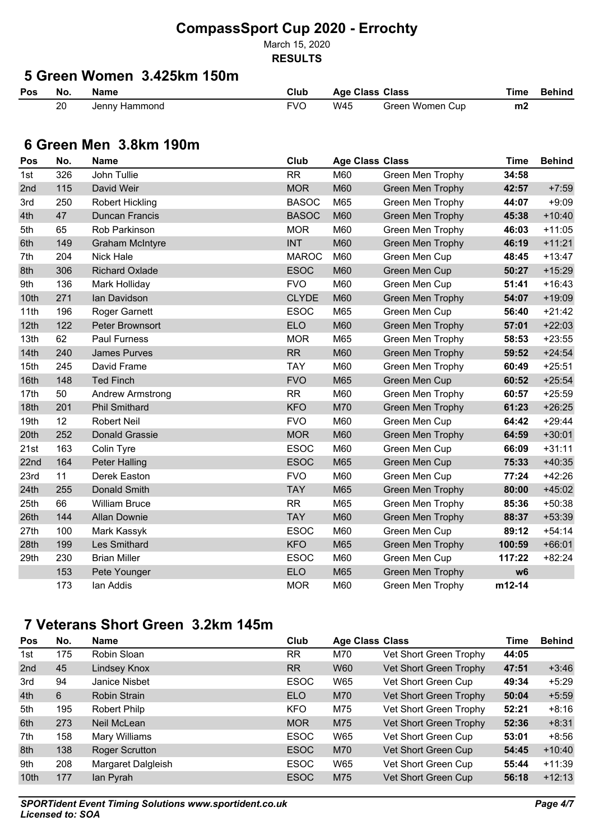March 15, 2020

#### **RESULTS**

# **5 Green Women 3.425km 150m**

| Pos | No.          | Name          | Club | <b>Age Class Class</b> |                 | <b>Time</b> | Behind |
|-----|--------------|---------------|------|------------------------|-----------------|-------------|--------|
|     | 20<br>$\sim$ | Jenny Hammond | FVC  | W45                    | Green Women Cup | m2          |        |

#### **6 Green Men 3.8km 190m**

| Pos  | No. | <b>Name</b>             | Club         | <b>Age Class Class</b> |                         | <b>Time</b>    | <b>Behind</b> |
|------|-----|-------------------------|--------------|------------------------|-------------------------|----------------|---------------|
| 1st  | 326 | John Tullie             | <b>RR</b>    | M60                    | Green Men Trophy        | 34:58          |               |
| 2nd  | 115 | David Weir              | <b>MOR</b>   | M60                    | Green Men Trophy        | 42:57          | $+7:59$       |
| 3rd  | 250 | Robert Hickling         | <b>BASOC</b> | M65                    | Green Men Trophy        | 44:07          | $+9:09$       |
| 4th  | 47  | <b>Duncan Francis</b>   | <b>BASOC</b> | M60                    | <b>Green Men Trophy</b> | 45:38          | $+10:40$      |
| 5th  | 65  | Rob Parkinson           | <b>MOR</b>   | M60                    | Green Men Trophy        | 46:03          | $+11:05$      |
| 6th  | 149 | <b>Graham McIntyre</b>  | <b>INT</b>   | M60                    | <b>Green Men Trophy</b> | 46:19          | $+11:21$      |
| 7th  | 204 | <b>Nick Hale</b>        | <b>MAROC</b> | M60                    | Green Men Cup           | 48:45          | $+13:47$      |
| 8th  | 306 | <b>Richard Oxlade</b>   | <b>ESOC</b>  | M60                    | Green Men Cup           | 50:27          | $+15:29$      |
| 9th  | 136 | Mark Holliday           | <b>FVO</b>   | M60                    | Green Men Cup           | 51:41          | $+16:43$      |
| 10th | 271 | lan Davidson            | <b>CLYDE</b> | M60                    | <b>Green Men Trophy</b> | 54:07          | $+19:09$      |
| 11th | 196 | Roger Garnett           | <b>ESOC</b>  | M65                    | Green Men Cup           | 56:40          | $+21:42$      |
| 12th | 122 | Peter Brownsort         | <b>ELO</b>   | M60                    | Green Men Trophy        | 57:01          | $+22:03$      |
| 13th | 62  | <b>Paul Furness</b>     | <b>MOR</b>   | M65                    | Green Men Trophy        | 58:53          | $+23:55$      |
| 14th | 240 | <b>James Purves</b>     | RR           | M60                    | <b>Green Men Trophy</b> | 59:52          | $+24:54$      |
| 15th | 245 | David Frame             | <b>TAY</b>   | M60                    | Green Men Trophy        | 60:49          | $+25:51$      |
| 16th | 148 | <b>Ted Finch</b>        | <b>FVO</b>   | M65                    | Green Men Cup           | 60:52          | $+25:54$      |
| 17th | 50  | <b>Andrew Armstrong</b> | <b>RR</b>    | M60                    | Green Men Trophy        | 60:57          | $+25:59$      |
| 18th | 201 | <b>Phil Smithard</b>    | <b>KFO</b>   | M70                    | Green Men Trophy        | 61:23          | $+26:25$      |
| 19th | 12  | <b>Robert Neil</b>      | <b>FVO</b>   | M60                    | Green Men Cup           | 64:42          | $+29:44$      |
| 20th | 252 | <b>Donald Grassie</b>   | <b>MOR</b>   | M60                    | Green Men Trophy        | 64:59          | $+30:01$      |
| 21st | 163 | Colin Tyre              | <b>ESOC</b>  | M60                    | Green Men Cup           | 66:09          | $+31:11$      |
| 22nd | 164 | <b>Peter Halling</b>    | <b>ESOC</b>  | M65                    | Green Men Cup           | 75:33          | $+40:35$      |
| 23rd | 11  | Derek Easton            | <b>FVO</b>   | M60                    | Green Men Cup           | 77:24          | $+42:26$      |
| 24th | 255 | <b>Donald Smith</b>     | <b>TAY</b>   | M65                    | <b>Green Men Trophy</b> | 80:00          | $+45:02$      |
| 25th | 66  | <b>William Bruce</b>    | <b>RR</b>    | M65                    | Green Men Trophy        | 85:36          | $+50:38$      |
| 26th | 144 | <b>Allan Downie</b>     | <b>TAY</b>   | M60                    | Green Men Trophy        | 88:37          | $+53:39$      |
| 27th | 100 | Mark Kassyk             | <b>ESOC</b>  | M60                    | Green Men Cup           | 89:12          | $+54:14$      |
| 28th | 199 | Les Smithard            | <b>KFO</b>   | M65                    | Green Men Trophy        | 100:59         | $+66:01$      |
| 29th | 230 | <b>Brian Miller</b>     | <b>ESOC</b>  | M60                    | Green Men Cup           | 117:22         | $+82:24$      |
|      | 153 | Pete Younger            | <b>ELO</b>   | M65                    | <b>Green Men Trophy</b> | w <sub>6</sub> |               |
|      | 173 | lan Addis               | <b>MOR</b>   | M60                    | Green Men Trophy        | m12-14         |               |

## **7 Veterans Short Green 3.2km 145m**

| Pos  | No. | <b>Name</b>           | Club        | <b>Age Class Class</b> |                        | <b>Time</b> | <b>Behind</b> |
|------|-----|-----------------------|-------------|------------------------|------------------------|-------------|---------------|
| 1st  | 175 | Robin Sloan           | <b>RR</b>   | M70                    | Vet Short Green Trophy | 44:05       |               |
| 2nd  | 45  | Lindsey Knox          | <b>RR</b>   | <b>W60</b>             | Vet Short Green Trophy | 47:51       | $+3:46$       |
| 3rd  | 94  | <b>Janice Nisbet</b>  | <b>ESOC</b> | W65                    | Vet Short Green Cup    | 49:34       | $+5:29$       |
| 4th  | 6   | Robin Strain          | <b>ELO</b>  | M70                    | Vet Short Green Trophy | 50:04       | $+5:59$       |
| 5th  | 195 | Robert Philp          | <b>KFO</b>  | M75                    | Vet Short Green Trophy | 52:21       | $+8:16$       |
| 6th  | 273 | Neil McLean           | <b>MOR</b>  | M75                    | Vet Short Green Trophy | 52:36       | $+8:31$       |
| 7th  | 158 | Mary Williams         | <b>ESOC</b> | W65                    | Vet Short Green Cup    | 53:01       | $+8:56$       |
| 8th  | 138 | <b>Roger Scrutton</b> | <b>ESOC</b> | M70                    | Vet Short Green Cup    | 54:45       | $+10:40$      |
| 9th  | 208 | Margaret Dalgleish    | <b>ESOC</b> | W65                    | Vet Short Green Cup    | 55:44       | $+11:39$      |
| 10th | 177 | lan Pyrah             | <b>ESOC</b> | M75                    | Vet Short Green Cup    | 56:18       | $+12:13$      |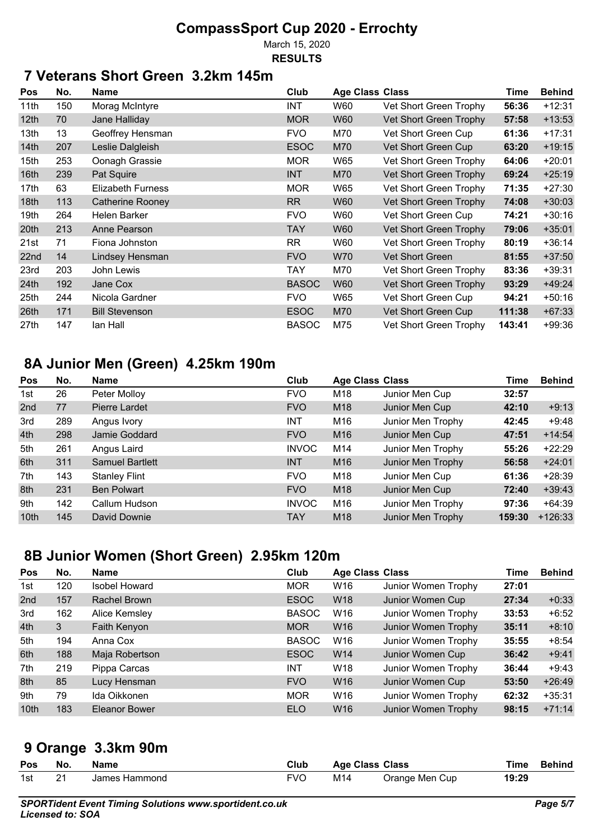March 15, 2020

#### **RESULTS**

## **7 Veterans Short Green 3.2km 145m**

| Pos              | No. | <b>Name</b>              | Club         | <b>Age Class Class</b> |                        | <b>Time</b> | <b>Behind</b> |
|------------------|-----|--------------------------|--------------|------------------------|------------------------|-------------|---------------|
| 11th             | 150 | Morag McIntyre           | INT          | W60                    | Vet Short Green Trophy | 56:36       | $+12:31$      |
| 12 <sub>th</sub> | 70  | Jane Halliday            | <b>MOR</b>   | W60                    | Vet Short Green Trophy | 57:58       | $+13:53$      |
| 13th             | 13  | Geoffrey Hensman         | <b>FVO</b>   | M70                    | Vet Short Green Cup    | 61:36       | $+17:31$      |
| 14th             | 207 | Leslie Dalgleish         | <b>ESOC</b>  | M70                    | Vet Short Green Cup    | 63:20       | $+19:15$      |
| 15th             | 253 | Oonagh Grassie           | <b>MOR</b>   | W65                    | Vet Short Green Trophy | 64:06       | $+20:01$      |
| 16th             | 239 | Pat Squire               | <b>INT</b>   | M70                    | Vet Short Green Trophy | 69:24       | $+25:19$      |
| 17th             | 63  | <b>Elizabeth Furness</b> | <b>MOR</b>   | W65                    | Vet Short Green Trophy | 71:35       | $+27:30$      |
| 18th             | 113 | <b>Catherine Rooney</b>  | RR           | W60                    | Vet Short Green Trophy | 74:08       | $+30:03$      |
| 19th             | 264 | Helen Barker             | <b>FVO</b>   | W60                    | Vet Short Green Cup    | 74:21       | $+30:16$      |
| 20 <sup>th</sup> | 213 | Anne Pearson             | TAY          | W60                    | Vet Short Green Trophy | 79:06       | $+35:01$      |
| 21st             | 71  | Fiona Johnston           | <b>RR</b>    | W60                    | Vet Short Green Trophy | 80:19       | $+36:14$      |
| 22nd             | 14  | Lindsey Hensman          | <b>FVO</b>   | W70                    | <b>Vet Short Green</b> | 81:55       | $+37:50$      |
| 23rd             | 203 | John Lewis               | TAY          | M70                    | Vet Short Green Trophy | 83:36       | $+39:31$      |
| 24 <sub>th</sub> | 192 | Jane Cox                 | <b>BASOC</b> | W60                    | Vet Short Green Trophy | 93:29       | $+49:24$      |
| 25th             | 244 | Nicola Gardner           | <b>FVO</b>   | W65                    | Vet Short Green Cup    | 94:21       | $+50:16$      |
| 26th             | 171 | <b>Bill Stevenson</b>    | <b>ESOC</b>  | M70                    | Vet Short Green Cup    | 111:38      | $+67:33$      |
| 27th             | 147 | lan Hall                 | <b>BASOC</b> | M75                    | Vet Short Green Trophy | 143:41      | $+99:36$      |

#### **8A Junior Men (Green) 4.25km 190m**

| Pos              | No. | <b>Name</b>            | Club         | <b>Age Class Class</b> |                   | Time   | <b>Behind</b> |
|------------------|-----|------------------------|--------------|------------------------|-------------------|--------|---------------|
| 1st              | 26  | Peter Molloy           | <b>FVO</b>   | M18                    | Junior Men Cup    | 32:57  |               |
| 2nd              | 77  | Pierre Lardet          | <b>FVO</b>   | M <sub>18</sub>        | Junior Men Cup    | 42:10  | $+9:13$       |
| 3rd              | 289 | Angus Ivory            | <b>INT</b>   | M16                    | Junior Men Trophy | 42:45  | $+9:48$       |
| 4th              | 298 | Jamie Goddard          | <b>FVO</b>   | M <sub>16</sub>        | Junior Men Cup    | 47:51  | $+14:54$      |
| 5th              | 261 | Angus Laird            | <b>INVOC</b> | M14                    | Junior Men Trophy | 55:26  | $+22:29$      |
| 6th              | 311 | <b>Samuel Bartlett</b> | <b>INT</b>   | M <sub>16</sub>        | Junior Men Trophy | 56:58  | $+24:01$      |
| 7th              | 143 | <b>Stanley Flint</b>   | <b>FVO</b>   | M18                    | Junior Men Cup    | 61:36  | $+28:39$      |
| 8th              | 231 | <b>Ben Polwart</b>     | <b>FVO</b>   | M18                    | Junior Men Cup    | 72:40  | $+39:43$      |
| 9th              | 142 | Callum Hudson          | <b>INVOC</b> | M16                    | Junior Men Trophy | 97:36  | $+64:39$      |
| 10 <sub>th</sub> | 145 | David Downie           | <b>TAY</b>   | M <sub>18</sub>        | Junior Men Trophy | 159:30 | $+126:33$     |

## **8B Junior Women (Short Green) 2.95km 120m**

| <b>Pos</b> | No. | <b>Name</b>          | Club         | <b>Age Class Class</b> |                     | Time  | <b>Behind</b> |
|------------|-----|----------------------|--------------|------------------------|---------------------|-------|---------------|
| 1st        | 120 | <b>Isobel Howard</b> | <b>MOR</b>   | W16                    | Junior Women Trophy | 27:01 |               |
| 2nd        | 157 | Rachel Brown         | <b>ESOC</b>  | W <sub>18</sub>        | Junior Women Cup    | 27:34 | $+0:33$       |
| 3rd        | 162 | Alice Kemsley        | <b>BASOC</b> | W16                    | Junior Women Trophy | 33:53 | $+6:52$       |
| 4th        | 3   | Faith Kenyon         | <b>MOR</b>   | W16                    | Junior Women Trophy | 35:11 | $+8:10$       |
| 5th        | 194 | Anna Cox             | <b>BASOC</b> | W16                    | Junior Women Trophy | 35:55 | $+8:54$       |
| 6th        | 188 | Maja Robertson       | <b>ESOC</b>  | W14                    | Junior Women Cup    | 36:42 | $+9:41$       |
| 7th        | 219 | Pippa Carcas         | <b>INT</b>   | W18                    | Junior Women Trophy | 36:44 | $+9:43$       |
| 8th        | 85  | Lucy Hensman         | <b>FVO</b>   | W16                    | Junior Women Cup    | 53:50 | $+26:49$      |
| 9th        | 79  | Ida Oikkonen         | <b>MOR</b>   | W16                    | Junior Women Trophy | 62:32 | $+35:31$      |
| 10th       | 183 | Eleanor Bower        | <b>ELO</b>   | W <sub>16</sub>        | Junior Women Trophy | 98:15 | $+71:14$      |

#### **9 Orange 3.3km 90m**

| Pos | No. | Name          | Club | <b>Age Class Class</b> |                |       | Time Behind |
|-----|-----|---------------|------|------------------------|----------------|-------|-------------|
| 1st | ີາ  | James Hammond | FVO  | M14                    | Orange Men Cup | 19:29 |             |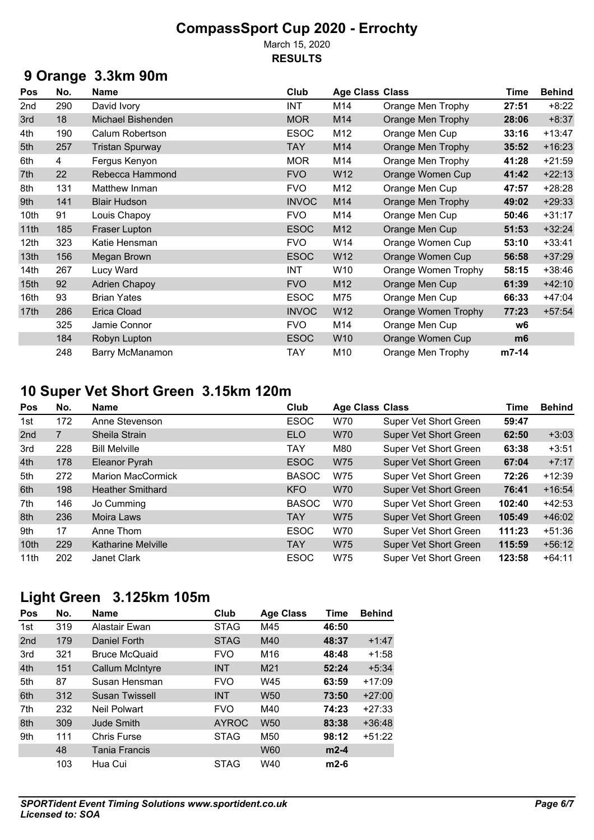March 15, 2020 **RESULTS**

## **9 Orange 3.3km 90m**

| Pos  | No. | <b>Name</b>              | Club         | <b>Age Class Class</b> |                            | Time  | <b>Behind</b> |
|------|-----|--------------------------|--------------|------------------------|----------------------------|-------|---------------|
| 2nd  | 290 | David Ivory              | <b>INT</b>   | M14                    | Orange Men Trophy          | 27:51 | $+8:22$       |
| 3rd  | 18  | <b>Michael Bishenden</b> | <b>MOR</b>   | M14                    | Orange Men Trophy          | 28:06 | $+8:37$       |
| 4th  | 190 | Calum Robertson          | <b>ESOC</b>  | M12                    | Orange Men Cup             | 33:16 | $+13:47$      |
| 5th  | 257 | <b>Tristan Spurway</b>   | <b>TAY</b>   | M14                    | Orange Men Trophy          | 35:52 | $+16:23$      |
| 6th  | 4   | Fergus Kenyon            | <b>MOR</b>   | M14                    | Orange Men Trophy          | 41:28 | $+21:59$      |
| 7th  | 22  | Rebecca Hammond          | <b>FVO</b>   | W12                    | Orange Women Cup           | 41:42 | $+22:13$      |
| 8th  | 131 | Matthew Inman            | <b>FVO</b>   | M12                    | Orange Men Cup             | 47:57 | $+28:28$      |
| 9th  | 141 | <b>Blair Hudson</b>      | <b>INVOC</b> | M14                    | Orange Men Trophy          | 49:02 | $+29:33$      |
| 10th | 91  | Louis Chapoy             | <b>FVO</b>   | M14                    | Orange Men Cup             | 50:46 | $+31:17$      |
| 11th | 185 | Fraser Lupton            | <b>ESOC</b>  | M12                    | Orange Men Cup             | 51:53 | $+32:24$      |
| 12th | 323 | Katie Hensman            | <b>FVO</b>   | W14                    | Orange Women Cup           | 53:10 | $+33:41$      |
| 13th | 156 | Megan Brown              | <b>ESOC</b>  | W12                    | Orange Women Cup           | 56:58 | $+37:29$      |
| 14th | 267 | Lucy Ward                | <b>INT</b>   | W10                    | Orange Women Trophy        | 58:15 | $+38:46$      |
| 15th | 92  | <b>Adrien Chapoy</b>     | <b>FVO</b>   | M12                    | Orange Men Cup             | 61:39 | $+42:10$      |
| 16th | 93  | <b>Brian Yates</b>       | <b>ESOC</b>  | M75                    | Orange Men Cup             | 66:33 | $+47:04$      |
| 17th | 286 | Erica Cload              | <b>INVOC</b> | W12                    | <b>Orange Women Trophy</b> | 77:23 | $+57:54$      |
|      | 325 | Jamie Connor             | <b>FVO</b>   | M14                    | Orange Men Cup             | w6    |               |
|      | 184 | Robyn Lupton             | <b>ESOC</b>  | W10                    | Orange Women Cup           | m6    |               |
|      | 248 | Barry McManamon          | <b>TAY</b>   | M10                    | Orange Men Trophy          | m7-14 |               |

## **10 Super Vet Short Green 3.15km 120m**

| <b>Pos</b> | No. | <b>Name</b>               | Club         | <b>Age Class Class</b> |                       | Time   | <b>Behind</b> |
|------------|-----|---------------------------|--------------|------------------------|-----------------------|--------|---------------|
| 1st        | 172 | Anne Stevenson            | <b>ESOC</b>  | W70                    | Super Vet Short Green | 59:47  |               |
| 2nd        | 7   | Sheila Strain             | <b>ELO</b>   | <b>W70</b>             | Super Vet Short Green | 62:50  | $+3:03$       |
| 3rd        | 228 | <b>Bill Melville</b>      | <b>TAY</b>   | M80                    | Super Vet Short Green | 63:38  | $+3:51$       |
| 4th        | 178 | Eleanor Pyrah             | <b>ESOC</b>  | W75                    | Super Vet Short Green | 67:04  | $+7:17$       |
| 5th        | 272 | <b>Marion MacCormick</b>  | <b>BASOC</b> | W75                    | Super Vet Short Green | 72:26  | $+12:39$      |
| 6th        | 198 | <b>Heather Smithard</b>   | <b>KFO</b>   | <b>W70</b>             | Super Vet Short Green | 76:41  | $+16:54$      |
| 7th        | 146 | Jo Cumming                | <b>BASOC</b> | W70                    | Super Vet Short Green | 102:40 | $+42:53$      |
| 8th        | 236 | Moira Laws                | <b>TAY</b>   | <b>W75</b>             | Super Vet Short Green | 105:49 | $+46:02$      |
| 9th        | 17  | Anne Thom                 | <b>ESOC</b>  | W70                    | Super Vet Short Green | 111:23 | $+51:36$      |
| 10th       | 229 | <b>Katharine Melville</b> | <b>TAY</b>   | <b>W75</b>             | Super Vet Short Green | 115:59 | $+56:12$      |
| 11th       | 202 | <b>Janet Clark</b>        | <b>ESOC</b>  | W75                    | Super Vet Short Green | 123:58 | $+64:11$      |

## **Light Green 3.125km 105m**

| Pos             | No. | <b>Name</b>            | Club         | <b>Age Class</b> | Time   | <b>Behind</b> |
|-----------------|-----|------------------------|--------------|------------------|--------|---------------|
| 1st             | 319 | Alastair Ewan          | <b>STAG</b>  | M45              | 46:50  |               |
| 2 <sub>nd</sub> | 179 | Daniel Forth           | <b>STAG</b>  | M40              | 48:37  | $+1:47$       |
| 3rd             | 321 | <b>Bruce McQuaid</b>   | <b>FVO</b>   | M16              | 48:48  | $+1:58$       |
| 4th             | 151 | <b>Callum McIntyre</b> | <b>INT</b>   | M <sub>21</sub>  | 52:24  | $+5:34$       |
| 5th             | 87  | Susan Hensman          | <b>FVO</b>   | W45              | 63:59  | $+17:09$      |
| 6th             | 312 | <b>Susan Twissell</b>  | <b>INT</b>   | W <sub>50</sub>  | 73:50  | $+27:00$      |
| 7th             | 232 | Neil Polwart           | <b>FVO</b>   | M40              | 74:23  | $+27:33$      |
| 8th             | 309 | <b>Jude Smith</b>      | <b>AYROC</b> | W <sub>50</sub>  | 83:38  | $+36:48$      |
| 9th             | 111 | Chris Furse            | <b>STAG</b>  | M50              | 98:12  | $+51:22$      |
|                 | 48  | Tania Francis          |              | <b>W60</b>       | $m2-4$ |               |
|                 | 103 | Hua Cui                | <b>STAG</b>  | W40              | $m2-6$ |               |